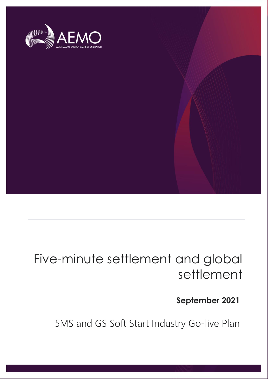

## Five-minute settlement and global settlement

### **September 2021**

5MS and GS Soft Start Industry Go-live Plan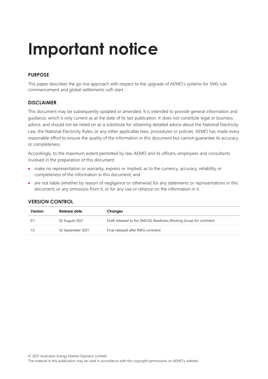# **Important notice**

#### **PURPOSE**

This paper describes the go-live approach with respect to the upgrade of AEMO's systems for 5MS rule commencement and global settlements soft-start.

#### **DISCLAIMER**

This document may be subsequently updated or amended. It is intended to provide general information and guidance, which is only current as at the date of its last publication. It does not constitute legal or business advice, and should not be relied on as a substitute for obtaining detailed advice about the National Electricity Law, the National Electricity Rules, or any other applicable laws, procedures or policies. AEMO has made every reasonable effort to ensure the quality of the information in this document but cannot guarantee its accuracy or completeness.

Accordingly, to the maximum extent permitted by law, AEMO and its officers, employees and consultants involved in the preparation of this document:

- make no representation or warranty, express or implied, as to the currency, accuracy, reliability or completeness of the information in this document; and
- are not liable (whether by reason of negligence or otherwise) for any statements or representations in this document, or any omissions from it, or for any use or reliance on the information in it.

| Release date<br>Version<br>Changes |                   |                                                                  |
|------------------------------------|-------------------|------------------------------------------------------------------|
| 0.1                                | 02 August 2021    | Draft released to the 5MS/GS Readiness Working Group for comment |
|                                    | 02 September 2021 | Final released after RWG comment                                 |

#### **VERSION CONTROL**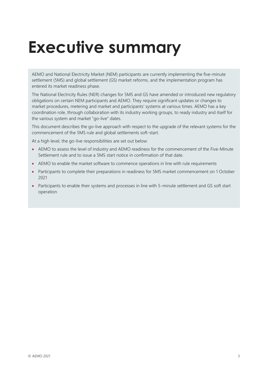# <span id="page-2-0"></span>**Executive summary**

AEMO and National Electricity Market (NEM) participants are currently implementing the five-minute settlement (5MS) and global settlement (GS) market reforms, and the implementation program has entered its market readiness phase.

The National Electricity Rules (NER) changes for 5MS and GS have amended or introduced new regulatory obligations on certain NEM participants and AEMO. They require significant updates or changes to market procedures, metering and market and participants' systems at various times. AEMO has a key coordination role, through collaboration with its industry working groups, to ready industry and itself for the various system and market "go-live" dates.

This document describes the go-live approach with respect to the upgrade of the relevant systems for the commencement of the 5MS rule and global settlements soft-start.

At a high level, the go-live responsibilities are set out below:

- AEMO to assess the level of Industry and AEMO readiness for the commencement of the Five-Minute Settlement rule and to issue a 5MS start notice in confirmation of that date.
- AEMO to enable the market software to commence operations in line with rule requirements
- Participants to complete their preparations in readiness for 5MS market commencement on 1 October 2021
- Participants to enable their systems and processes in line with 5-minute settlement and GS soft start operation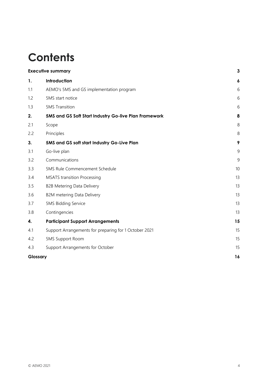## **Contents**

|          | <b>Executive summary</b>                              | 3              |
|----------|-------------------------------------------------------|----------------|
| 1.       | Introduction                                          | 6              |
| 1.1      | AEMO's 5MS and GS implementation program              | 6              |
| 1.2      | 5MS start notice                                      | 6              |
| 1.3      | <b>5MS</b> Transition                                 | 6              |
| 2.       | 5MS and GS Soft Start Industry Go-live Plan Framework | 8              |
| 2.1      | Scope                                                 | 8              |
| 2.2      | Principles                                            | 8              |
| 3.       | 5MS and GS soft start Industry Go-Live Plan           | 9              |
| 3.1      | Go-live plan                                          | 9              |
| 3.2      | Communications                                        | $\overline{9}$ |
| 3.3      | 5MS Rule Commencement Schedule                        | 10             |
| 3.4      | <b>MSATS</b> transition Processing                    | 13             |
| 3.5      | <b>B2B Metering Data Delivery</b>                     | 13             |
| 3.6      | B2M metering Data Delivery                            | 13             |
| 3.7      | 5MS Bidding Service                                   | 13             |
| 3.8      | Contingencies                                         | 13             |
| 4.       | <b>Participant Support Arrangements</b>               | 15             |
| 4.1      | Support Arrangements for preparing for 1 October 2021 | 15             |
| 4.2      | <b>5MS Support Room</b>                               | 15             |
| 4.3      | Support Arrangements for October                      | 15             |
| Glossary |                                                       | 16             |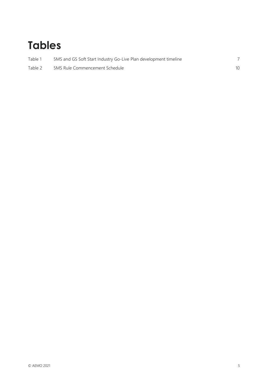## **Tables**

| Table 1 | 5MS and GS Soft Start Industry Go-Live Plan development timeline |  |
|---------|------------------------------------------------------------------|--|
| Table 2 | 5MS Rule Commencement Schedule                                   |  |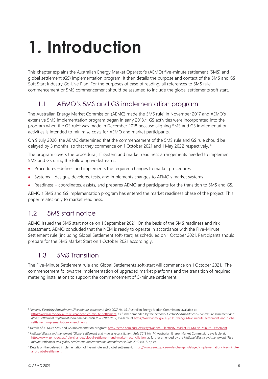# <span id="page-5-0"></span>**1. Introduction**

This chapter explains the Australian Energy Market Operator's (AEMO) five-minute settlement (5MS) and global settlement (GS) implementation program. It then details the purpose and context of the 5MS and GS Soft Start Industry Go-Live Plan. For the purposes of ease of reading, all references to 5MS rule commencement or 5MS commencement should be assumed to include the global settlements soft start.

### <span id="page-5-1"></span>1.1 AEMO's 5MS and GS implementation program

The Australian Energy Market Commission (AEMC) made the 5MS rule<sup>1</sup> in November 2017 and AEMO's extensive 5MS implementation program began in early 2018.<sup>2</sup> GS activities were incorporated into the program when the GS rule<sup>3</sup> was made in December 2018 because aligning 5MS and GS implementation activities is intended to minimise costs for AEMO and market participants.

On 9 July 2020, the AEMC determined that the commencement of the 5MS rule and GS rule should be delayed by 3 months, so that they commence on 1 October 2021 and 1 May 2022 respectively.<sup>4</sup>

The program covers the procedural, IT system and market readiness arrangements needed to implement 5MS and GS using the following workstreams:

- Procedures –defines and implements the required changes to market procedures
- Systems designs, develops, tests, and implements changes to AEMO's market systems
- Readiness coordinates, assists, and prepares AEMO and participants for the transition to 5MS and GS.

AEMO's 5MS and GS implementation program has entered the market readiness phase of the project. This paper relates only to market readiness.

### <span id="page-5-2"></span>1.2 5MS start notice

AEMO issued the 5MS start notice on 1 September 2021. On the basis of the 5MS readiness and risk assessment, AEMO concluded that the NEM is ready to operate in accordance with the Five-Minute Settlement rule (including Global Settlement soft-start) as scheduled on 1 October 2021. Participants should prepare for the 5MS Market Start on 1 October 2021 accordingly.

### <span id="page-5-3"></span>1.3 5MS Transition

The Five-Minute Settlement rule and Global Settlements soft-start will commence on 1 October 2021. The commencement follows the implementation of upgraded market platforms and the transition of required metering installations to support the commencement of 5-minute settlement.

<sup>1</sup> *National Electricity Amendment (Five minute settlement) Rule 2017 No. 15*, Australian Energy Market Commission, available at: [https://www.aemc.gov.au/rule-changes/five-minute-settlement,](https://www.aemc.gov.au/rule-changes/five-minute-settlement) as further amended by the *National Electricity Amendment (Five minute settlement and global settlement implementation amendments) Rule 2019 No. 7*, available at [https://www.aemc.gov.au/rule-changes/five-minute-settlement-and-global](https://www.aemc.gov.au/rule-changes/five-minute-settlement-and-global-settlement-implementation-amendments)[settlement-implementation-amendments](https://www.aemc.gov.au/rule-changes/five-minute-settlement-and-global-settlement-implementation-amendments)

<sup>&</sup>lt;sup>2</sup> Details of AEMO's 5MS and GS implementation program: <http://aemo.com.au/Electricity/National-Electricity-Market-NEM/Five-Minute-Settlement>

<sup>3</sup> *National Electricity Amendment (Global settlement and market reconciliation) Rule 2018 No. 14*, Australian Energy Market Commission, available at: [https://www.aemc.gov.au/rule-changes/global-settlement-and-market-reconciliation,](https://www.aemc.gov.au/rule-changes/global-settlement-and-market-reconciliation) as further amended by the *National Electricity Amendment (Five minute settlement and global settlement implementation amendments) Rule 2019 No. 7*, op cit.

<sup>4</sup> Details on the delayed implementation of five minute and global settlement[: https://www.aemc.gov.au/rule-changes/delayed-implementation-five-minute](https://www.aemc.gov.au/rule-changes/delayed-implementation-five-minute-and-global-settlement)[and-global-settlement](https://www.aemc.gov.au/rule-changes/delayed-implementation-five-minute-and-global-settlement)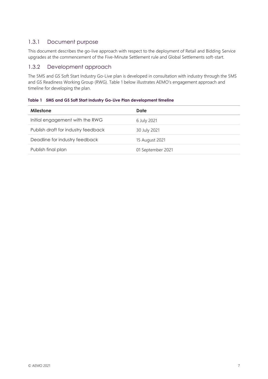#### 1.3.1 Document purpose

This document describes the go-live approach with respect to the deployment of Retail and Bidding Service upgrades at the commencement of the Five-Minute Settlement rule and Global Settlements soft-start.

#### 1.3.2 Development approach

The 5MS and GS Soft Start Industry Go-Live plan is developed in consultation with industry through the 5MS and GS Readiness Working Group (RWG). Table 1 below illustrates AEMO's engagement approach and timeline for developing the plan.

<span id="page-6-0"></span>

| Table 1 5MS and GS Soft Start Industry Go-Live Plan development timeline |  |
|--------------------------------------------------------------------------|--|
|                                                                          |  |

| <b>Milestone</b>                    | Date              |
|-------------------------------------|-------------------|
| Initial engagement with the RWG     | 6 July 2021       |
| Publish draft for industry feedback | 30 July 2021      |
| Deadline for industry feedback      | 15 August 2021    |
| Publish final plan                  | 01 September 2021 |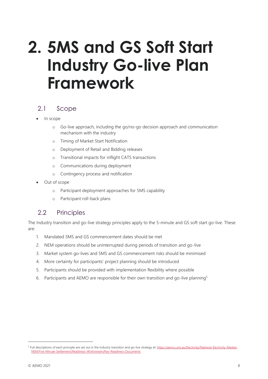# <span id="page-7-0"></span>**2. 5MS and GS Soft Start Industry Go-live Plan Framework**

### <span id="page-7-1"></span>2.1 Scope

- In scope
	- o Go-live approach, including the go/no-go decision approach and communication mechanism with the industry
	- o Timing of Market Start Notification
	- o Deployment of Retail and Bidding releases
	- o Transitional impacts for inflight CATS transactions
	- o Communications during deployment
	- o Contingency process and notification
- Out of scope
	- o Participant deployment approaches for 5MS capability
	- o Participant roll-back plans

### <span id="page-7-2"></span>2.2 Principles

The Industry transition and go-live strategy principles apply to the 5-minute and GS soft start go-live. These are:

- 1. Mandated 5MS and GS commencement dates should be met
- 2. NEM operations should be uninterrupted during periods of transition and go-live
- 3. Market system go-lives and 5MS and GS commencement risks should be minimised
- 4. More certainty for participants' project planning should be introduced
- 5. Participants should be provided with implementation flexibility where possible
- 6. Participants and AEMO are responsible for their own transition and go-live planning<sup>5</sup>

<sup>&</sup>lt;sup>5</sup> Full descriptions of each principle are set out in the Industry transition and go-live strategy at[: https://aemo.com.au/Electricity/National-Electricity-Market-](https://aemo.com.au/Electricity/National-Electricity-Market-NEM/Five-Minute-Settlement/Readiness-Workstream/Key-Readiness-Documents)[NEM/Five-Minute-Settlement/Readiness-Workstream/Key-Readiness-Documents](https://aemo.com.au/Electricity/National-Electricity-Market-NEM/Five-Minute-Settlement/Readiness-Workstream/Key-Readiness-Documents)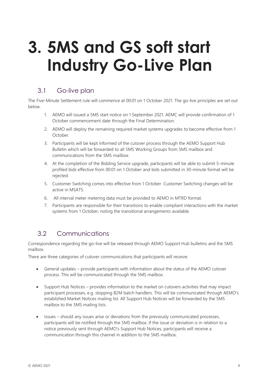# <span id="page-8-0"></span>**3. 5MS and GS soft start Industry Go-Live Plan**

### <span id="page-8-1"></span>3.1 Go-live plan

The Five-Minute Settlement rule will commence at 00:01 on 1 October 2021. The go-live principles are set out below.

- 1. AEMO will issued a 5MS start notice on 1 September 2021. AEMC will provide confirmation of 1 October commencement date through the Final Determination.
- 2. AEMO will deploy the remaining required market systems upgrades to become effective from 1 October.
- 3. Participants will be kept informed of the cutover process through the AEMO Support Hub Bulletin which will be forwarded to all 5MS Working Groups from 5MS mailbox and communications from the 5MS mailbox.
- 4. At the completion of the Bidding Service upgrade, participants will be able to submit 5-minute profiled bids effective from 00:01 on 1 October and bids submitted in 30-minute format will be rejected.
- 5. Customer Switching comes into effective from 1 October. Customer Switching changes will be active in MSATS.
- 6. All interval meter metering data must be provided to AEMO in MTRD format.
- 7. Participants are responsible for their transitions to enable compliant interactions with the market systems from 1 October, noting the transitional arrangements available.

### <span id="page-8-2"></span>3.2 Communications

Correspondence regarding the go-live will be released through AEMO Support Hub bulletins and the 5MS mailbox.

There are three categories of cutover communications that participants will receive:

- General updates provide participants with information about the status of the AEMO cutover process. This will be communicated through the 5MS mailbox.
- Support Hub Notices provides information to the market on cutovers activities that may impact participant processes, e.g. stopping B2M batch handlers. This will be communicated through AEMO's established Market Notices mailing list. All Support Hub Notices will be forwarded by the 5MS mailbox to the 5MS mailing lists.
- Issues should any issues arise or deviations from the previously communicated processes, participants will be notified through the 5MS mailbox. If the issue or deviation is in relation to a notice previously sent through AEMO's Support Hub Notices, participants will receive a communication through this channel in addition to the 5MS mailbox.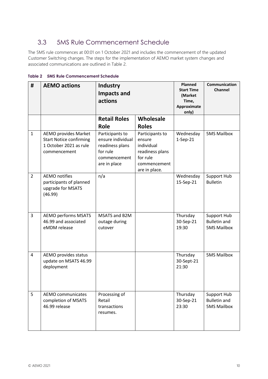### <span id="page-9-0"></span>3.3 5MS Rule Commencement Schedule

The 5MS rule commences at 00:01 on 1 October 2021 and includes the commencement of the updated Customer Switching changes. The steps for the implementation of AEMO market system changes and associated communications are outlined in Table 2.

| #              | <b>AEMO actions</b>                                                                                     | <b>Industry</b><br>Impacts and<br>actions                                                                          |                                                                                                                         | <b>Planned</b><br><b>Start Time</b><br>(Market<br>Time,<br>Approximate<br>only) | Communication<br><b>Channel</b>                          |
|----------------|---------------------------------------------------------------------------------------------------------|--------------------------------------------------------------------------------------------------------------------|-------------------------------------------------------------------------------------------------------------------------|---------------------------------------------------------------------------------|----------------------------------------------------------|
|                |                                                                                                         | <b>Retail Roles</b>                                                                                                | Wholesale                                                                                                               |                                                                                 |                                                          |
| $\mathbf{1}$   | <b>AEMO provides Market</b><br><b>Start Notice confirming</b><br>1 October 2021 as rule<br>commencement | <b>Role</b><br>Participants to<br>ensure individual<br>readiness plans<br>for rule<br>commencement<br>are in place | <b>Roles</b><br>Participants to<br>ensure<br>individual<br>readiness plans<br>for rule<br>commencement<br>are in place. | Wednesday<br>1-Sep-21                                                           | <b>5MS Mailbox</b>                                       |
| $\overline{2}$ | <b>AEMO</b> notifies<br>participants of planned<br>upgrade for MSATS<br>(46.99)                         | n/a                                                                                                                |                                                                                                                         | Wednesday<br>15-Sep-21                                                          | Support Hub<br><b>Bulletin</b>                           |
| $\overline{3}$ | <b>AEMO performs MSATS</b><br>46.99 and associated<br>eMDM release                                      | MSATS and B2M<br>outage during<br>cutover                                                                          |                                                                                                                         | Thursday<br>30-Sep-21<br>19:30                                                  | Support Hub<br><b>Bulletin and</b><br><b>5MS Mailbox</b> |
| $\overline{4}$ | AEMO provides status<br>update on MSATS 46.99<br>deployment                                             |                                                                                                                    |                                                                                                                         | Thursday<br>30-Sept-21<br>21:30                                                 | <b>5MS Mailbox</b>                                       |
| 5              | <b>AEMO</b> communicates<br>completion of MSATS<br>46.99 release                                        | Processing of<br>Retail<br>transactions<br>resumes.                                                                |                                                                                                                         | Thursday<br>30-Sep-21<br>23:30                                                  | Support Hub<br><b>Bulletin and</b><br><b>5MS Mailbox</b> |

<span id="page-9-1"></span>**Table 2 5MS Rule Commencement Schedule**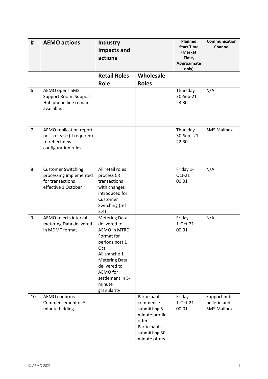| #              | <b>AEMO actions</b>                                                                            | <b>Industry</b><br><b>Impacts and</b><br>actions                                                                                                                                                                     |                                                                                                                          | <b>Planned</b><br><b>Start Time</b><br>(Market<br>Time,<br>Approximate<br>only) | Communication<br><b>Channel</b>                   |
|----------------|------------------------------------------------------------------------------------------------|----------------------------------------------------------------------------------------------------------------------------------------------------------------------------------------------------------------------|--------------------------------------------------------------------------------------------------------------------------|---------------------------------------------------------------------------------|---------------------------------------------------|
|                |                                                                                                | <b>Retail Roles</b><br><b>Role</b>                                                                                                                                                                                   | Wholesale<br><b>Roles</b>                                                                                                |                                                                                 |                                                   |
| 6              | AEMO opens 5MS<br>Support Room. Support<br>Hub phone line remains<br>available.                |                                                                                                                                                                                                                      |                                                                                                                          | Thursday<br>30-Sep-21<br>23:30                                                  | N/A                                               |
| $\overline{7}$ | AEMO replication report<br>post release (if required)<br>to reflect new<br>configuration rules |                                                                                                                                                                                                                      |                                                                                                                          | Thursday<br>30-Sept-21<br>22:30                                                 | <b>5MS Mailbox</b>                                |
| 8              | <b>Customer Switching</b><br>processing implemented<br>for transactions<br>effective 1 October | All retail roles<br>process CR<br>transactions<br>with changes<br>introduced for<br>Customer<br>Switching (ref<br>3.4)                                                                                               |                                                                                                                          | Friday 1-<br>Oct-21<br>00.01                                                    | N/A                                               |
| 9              | AEMO rejects interval<br>metering Data delivered<br>in MDMT format                             | <b>Metering Data</b><br>delivered to<br><b>AEMO in MTRD</b><br>Format for<br>periods post 1<br>Oct<br>All tranche 1<br><b>Metering Data</b><br>delivered to<br>AEMO for<br>settlement in 5-<br>minute<br>granularity |                                                                                                                          | Friday<br>1-Oct-21<br>00.01                                                     | N/A                                               |
| 10             | <b>AEMO confirms</b><br>Commencement of 5-<br>minute bidding                                   |                                                                                                                                                                                                                      | Participants<br>commence<br>submitting 5-<br>minute profile<br>offers<br>Participants<br>submitting 30-<br>minute offers | Friday<br>1-Oct-21<br>00:01                                                     | Support hub<br>bulletin and<br><b>5MS Mailbox</b> |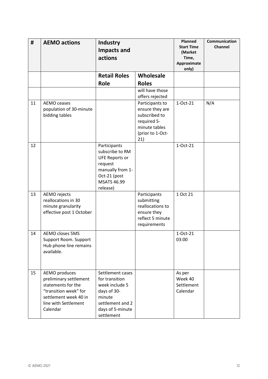| #  | <b>AEMO actions</b>                                                                                                                                 | <b>Industry</b><br><b>Impacts and</b><br>actions                                                                                          |                                                                                                                | <b>Planned</b><br><b>Start Time</b><br>(Market<br>Time,<br>Approximate<br>only) | Communication<br>Channel |
|----|-----------------------------------------------------------------------------------------------------------------------------------------------------|-------------------------------------------------------------------------------------------------------------------------------------------|----------------------------------------------------------------------------------------------------------------|---------------------------------------------------------------------------------|--------------------------|
|    |                                                                                                                                                     | <b>Retail Roles</b><br><b>Role</b>                                                                                                        | Wholesale<br><b>Roles</b>                                                                                      |                                                                                 |                          |
|    |                                                                                                                                                     |                                                                                                                                           | will have those                                                                                                |                                                                                 |                          |
|    |                                                                                                                                                     |                                                                                                                                           | offers rejected                                                                                                |                                                                                 |                          |
| 11 | AEMO ceases<br>population of 30-minute<br>bidding tables                                                                                            |                                                                                                                                           | Participants to<br>ensure they are<br>subscribed to<br>required 5-<br>minute tables<br>(prior to 1-Oct-<br>21) | 1-Oct-21                                                                        | N/A                      |
| 12 |                                                                                                                                                     | Participants<br>subscribe to RM<br><b>UFE Reports or</b><br>request<br>manually from 1-<br>Oct-21 (post<br><b>MSATS 46.99</b><br>release) |                                                                                                                | 1-Oct-21                                                                        |                          |
| 13 | AEMO rejects<br>reallocations in 30<br>minute granularity<br>effective post 1 October                                                               |                                                                                                                                           | Participants<br>submitting<br>reallocations to<br>ensure they<br>reflect 5 minute<br>requirements              | 1 Oct 21                                                                        |                          |
| 14 | <b>AEMO closes 5MS</b><br>Support Room. Support<br>Hub phone line remains<br>available.                                                             |                                                                                                                                           |                                                                                                                | 1-Oct-21<br>03:00                                                               |                          |
| 15 | AEMO produces<br>preliminary settlement<br>statements for the<br>"transition week" for<br>settlement week 40 in<br>line with Settlement<br>Calendar | Settlement cases<br>for transition<br>week include 5<br>days of 30-<br>minute<br>settlement and 2<br>days of 5-minute<br>settlement       |                                                                                                                | As per<br>Week 40<br>Settlement<br>Calendar                                     |                          |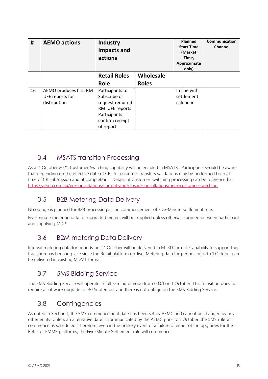| #  | <b>AEMO actions</b>                                       | <b>Industry</b><br><b>Impacts and</b><br>actions                                                                       |              | Planned<br><b>Start Time</b><br>(Market<br>Time,<br>Approximate<br>only) | <b>Communication</b><br>Channel |
|----|-----------------------------------------------------------|------------------------------------------------------------------------------------------------------------------------|--------------|--------------------------------------------------------------------------|---------------------------------|
|    |                                                           | <b>Retail Roles</b>                                                                                                    | Wholesale    |                                                                          |                                 |
|    |                                                           | <b>Role</b>                                                                                                            | <b>Roles</b> |                                                                          |                                 |
| 16 | AEMO produces first RM<br>UFE reports for<br>distribution | Participants to<br>Subscribe or<br>request required<br>RM UFE reports<br>Participants<br>confirm receipt<br>of reports |              | In line with<br>settlement<br>calendar                                   |                                 |

### <span id="page-12-0"></span>3.4 MSATS transition Processing

As at 1 October 2021, Customer Switching capability will be enabled in MSATS. Participants should be aware that depending on the effective date of CRs for customer transfers validations may be performed both at time of CR submission and at completion. Details of Customer Switching processing can be referenced at <https://aemo.com.au/en/consultations/current-and-closed-consultations/nem-customer-switching>

### <span id="page-12-1"></span>3.5 B2B Metering Data Delivery

No outage is planned for B2B processing at the commencement of Five-Minute Settlement rule.

Five-minute metering data for upgraded meters will be supplied unless otherwise agreed between participant and supplying MDP.

### <span id="page-12-2"></span>3.6 B2M metering Data Delivery

Interval metering data for periods post 1 October will be delivered in MTRD format. Capability to support this transition has been in place since the Retail platform go-live. Metering data for periods prior to 1 October can be delivered in existing MDMT format.

### <span id="page-12-3"></span>3.7 5MS Bidding Service

The 5MS Bidding Service will operate in full 5-minute mode from 00.01 on 1 October. This transition does not require a software upgrade on 30 September and there is not outage on the 5MS Bidding Service.

### <span id="page-12-4"></span>3.8 Contingencies

As noted in Section 1, the 5MS commencement date has been set by AEMC and cannot be changed by any other entity. Unless an alternative date is communicated by the AEMC prior to 1 October, the 5MS rule will commence as scheduled. Therefore, even in the unlikely event of a failure of either of the upgrades for the Retail or EMMS platforms, the Five-Minute Settlement rule will commence.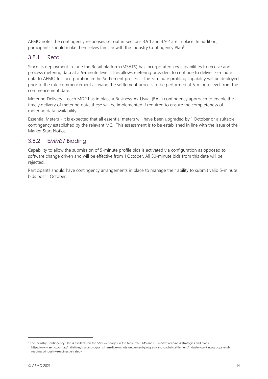AEMO notes the contingency responses set out in Sections 3.9.1 and 3.9.2 are in place. In addition, participants should make themselves familiar with the Industry Contingency Plan<sup>6</sup>.

#### 3.8.1 Retail

Since its deployment in June the Retail platform (MSATS) has incorporated key capabilities to receive and process metering data at a 5-minute level. This allows metering providers to continue to deliver 5-minute data to AEMO for incorporation in the Settlement process. The 5-minute profiling capability will be deployed prior to the rule commencement allowing the settlement process to be performed at 5-minute level from the commencement date.

Metering Delivery – each MDP has in place a Business-As-Usual (BAU) contingency approach to enable the timely delivery of metering data, these will be implemented if required to ensure the completeness of metering data availability

Essential Meters - It is expected that all essential meters will have been upgraded by 1 October or a suitable contingency established by the relevant MC. This assessment is to be established in line with the issue of the Market Start Notice.

#### 3.8.2 EMMS/ Bidding

Capability to allow the submission of 5-minute profile bids is activated via configuration as opposed to software change driven and will be effective from 1 October. All 30-minute bids from this date will be rejected.

Participants should have contingency arrangements in place to manage their ability to submit valid 5-minute bids post 1 October.

<sup>6</sup> The Industry Contingency Plan is available on the 5MS webpages in the table title 5MS and GS market readiness strategies and plans: https://www.aemo.com.au/initiatives/major-programs/nem-five-minute-settlement-program-and-global-settlement/industry-working-groups-andreadiness/industry-readiness-strategy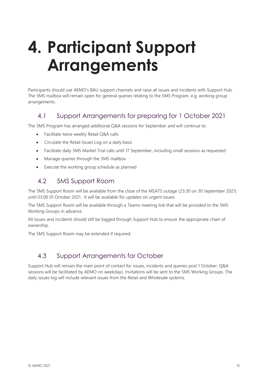# <span id="page-14-0"></span>**4. Participant Support Arrangements**

Participants should use AEMO's BAU support channels and raise all issues and incidents with Support Hub. The 5MS mailbox will remain open for general queries relating to the 5MS Program, e.g. working group arrangements.

### <span id="page-14-1"></span>4.1 Support Arrangements for preparing for 1 October 2021

The 5MS Program has arranged additional Q&A sessions for September and will continue to:

- Facilitate twice weekly Retail Q&A calls
- Circulate the Retail Issues Log on a daily basis
- Facilitate daily 5MS Market Trial calls until 17 September, including small sessions as requested
- Manage queries through the 5MS mailbox
- <span id="page-14-2"></span>Execute the working group schedule as planned

### 4.2 5MS Support Room

The 5MS Support Room will be available from the close of the MSATS outage (23:30 on 30 September 2021) until 03:00 01 October 2021. It will be available for updates on urgent issues.

The 5MS Support Room will be available through a Teams meeting link that will be provided to the 5MS Working Groups in advance.

All issues and incidents should still be logged through Support Hub to ensure the appropriate chain of ownership.

The 5MS Support Room may be extended if required.

### <span id="page-14-3"></span>4.3 Support Arrangements for October

Support Hub will remain the main point of contact for issues, incidents and queries post 1 October. Q&A sessions will be facilitated by AEMO on weekdays. Invitations will be sent to the 5MS Working Groups. The daily issues log will include relevant issues from the Retail and Wholesale systems.